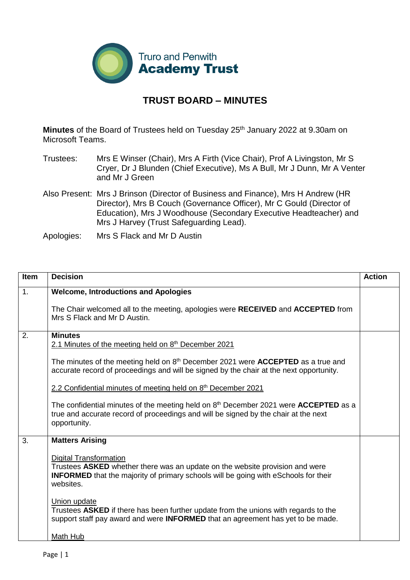

## **TRUST BOARD – MINUTES**

**Minutes** of the Board of Trustees held on Tuesday 25<sup>th</sup> January 2022 at 9.30am on Microsoft Teams.

- Trustees: Mrs E Winser (Chair), Mrs A Firth (Vice Chair), Prof A Livingston, Mr S Cryer, Dr J Blunden (Chief Executive), Ms A Bull, Mr J Dunn, Mr A Venter and Mr J Green
- Also Present: Mrs J Brinson (Director of Business and Finance), Mrs H Andrew (HR Director), Mrs B Couch (Governance Officer), Mr C Gould (Director of Education), Mrs J Woodhouse (Secondary Executive Headteacher) and Mrs J Harvey (Trust Safeguarding Lead).

Apologies: Mrs S Flack and Mr D Austin

| <b>Item</b> | <b>Decision</b>                                                                                                                                                                                                          | <b>Action</b> |
|-------------|--------------------------------------------------------------------------------------------------------------------------------------------------------------------------------------------------------------------------|---------------|
| 1.          | <b>Welcome, Introductions and Apologies</b>                                                                                                                                                                              |               |
|             | The Chair welcomed all to the meeting, apologies were RECEIVED and ACCEPTED from<br>Mrs S Flack and Mr D Austin.                                                                                                         |               |
| 2.          | <b>Minutes</b>                                                                                                                                                                                                           |               |
|             | 2.1 Minutes of the meeting held on 8 <sup>th</sup> December 2021                                                                                                                                                         |               |
|             | The minutes of the meeting held on $8th$ December 2021 were <b>ACCEPTED</b> as a true and<br>accurate record of proceedings and will be signed by the chair at the next opportunity.                                     |               |
|             | 2.2 Confidential minutes of meeting held on 8 <sup>th</sup> December 2021                                                                                                                                                |               |
|             | The confidential minutes of the meeting held on $8th$ December 2021 were <b>ACCEPTED</b> as a<br>true and accurate record of proceedings and will be signed by the chair at the next<br>opportunity.                     |               |
| 3.          | <b>Matters Arising</b>                                                                                                                                                                                                   |               |
|             | <b>Digital Transformation</b><br>Trustees ASKED whether there was an update on the website provision and were<br><b>INFORMED</b> that the majority of primary schools will be going with eSchools for their<br>websites. |               |
|             | Union update<br>Trustees ASKED if there has been further update from the unions with regards to the<br>support staff pay award and were INFORMED that an agreement has yet to be made.                                   |               |
|             | Math Hub                                                                                                                                                                                                                 |               |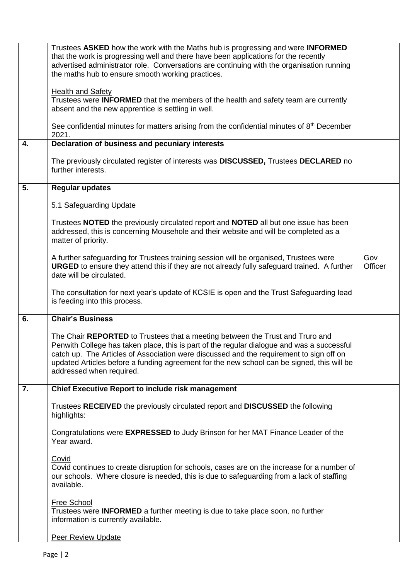|    | Trustees ASKED how the work with the Maths hub is progressing and were <b>INFORMED</b><br>that the work is progressing well and there have been applications for the recently<br>advertised administrator role. Conversations are continuing with the organisation running<br>the maths hub to ensure smooth working practices.                                                                  |                |
|----|--------------------------------------------------------------------------------------------------------------------------------------------------------------------------------------------------------------------------------------------------------------------------------------------------------------------------------------------------------------------------------------------------|----------------|
|    | <b>Health and Safety</b><br>Trustees were INFORMED that the members of the health and safety team are currently<br>absent and the new apprentice is settling in well.                                                                                                                                                                                                                            |                |
|    | See confidential minutes for matters arising from the confidential minutes of 8 <sup>th</sup> December<br>2021.                                                                                                                                                                                                                                                                                  |                |
| 4. | Declaration of business and pecuniary interests                                                                                                                                                                                                                                                                                                                                                  |                |
|    | The previously circulated register of interests was <b>DISCUSSED</b> , Trustees DECLARED no<br>further interests.                                                                                                                                                                                                                                                                                |                |
| 5. | <b>Regular updates</b>                                                                                                                                                                                                                                                                                                                                                                           |                |
|    | 5.1 Safeguarding Update                                                                                                                                                                                                                                                                                                                                                                          |                |
|    | Trustees NOTED the previously circulated report and NOTED all but one issue has been<br>addressed, this is concerning Mousehole and their website and will be completed as a<br>matter of priority.                                                                                                                                                                                              |                |
|    | A further safeguarding for Trustees training session will be organised, Trustees were<br><b>URGED</b> to ensure they attend this if they are not already fully safeguard trained. A further<br>date will be circulated.                                                                                                                                                                          | Gov<br>Officer |
|    | The consultation for next year's update of KCSIE is open and the Trust Safeguarding lead<br>is feeding into this process.                                                                                                                                                                                                                                                                        |                |
| 6. | <b>Chair's Business</b>                                                                                                                                                                                                                                                                                                                                                                          |                |
|    | The Chair REPORTED to Trustees that a meeting between the Trust and Truro and<br>Penwith College has taken place, this is part of the regular dialogue and was a successful<br>catch up. The Articles of Association were discussed and the requirement to sign off on<br>updated Articles before a funding agreement for the new school can be signed, this will be<br>addressed when required. |                |
| 7. | <b>Chief Executive Report to include risk management</b>                                                                                                                                                                                                                                                                                                                                         |                |
|    | Trustees RECEIVED the previously circulated report and DISCUSSED the following<br>highlights:                                                                                                                                                                                                                                                                                                    |                |
|    | Congratulations were EXPRESSED to Judy Brinson for her MAT Finance Leader of the<br>Year award.                                                                                                                                                                                                                                                                                                  |                |
|    | Covid<br>Covid continues to create disruption for schools, cases are on the increase for a number of<br>our schools. Where closure is needed, this is due to safeguarding from a lack of staffing<br>available.                                                                                                                                                                                  |                |
|    | <b>Free School</b><br>Trustees were <b>INFORMED</b> a further meeting is due to take place soon, no further<br>information is currently available.                                                                                                                                                                                                                                               |                |
|    | <b>Peer Review Update</b>                                                                                                                                                                                                                                                                                                                                                                        |                |
|    |                                                                                                                                                                                                                                                                                                                                                                                                  |                |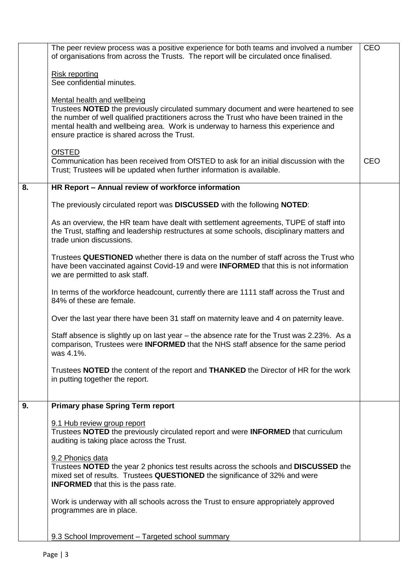|    | The peer review process was a positive experience for both teams and involved a number<br>of organisations from across the Trusts. The report will be circulated once finalised.                                                                                                                                                                   | <b>CEO</b> |
|----|----------------------------------------------------------------------------------------------------------------------------------------------------------------------------------------------------------------------------------------------------------------------------------------------------------------------------------------------------|------------|
|    | <b>Risk reporting</b><br>See confidential minutes.                                                                                                                                                                                                                                                                                                 |            |
|    | Mental health and wellbeing<br>Trustees NOTED the previously circulated summary document and were heartened to see<br>the number of well qualified practitioners across the Trust who have been trained in the<br>mental health and wellbeing area. Work is underway to harness this experience and<br>ensure practice is shared across the Trust. |            |
|    | <b>OfSTED</b><br>Communication has been received from OfSTED to ask for an initial discussion with the<br>Trust; Trustees will be updated when further information is available.                                                                                                                                                                   | <b>CEO</b> |
| 8. | HR Report - Annual review of workforce information                                                                                                                                                                                                                                                                                                 |            |
|    | The previously circulated report was DISCUSSED with the following NOTED:                                                                                                                                                                                                                                                                           |            |
|    | As an overview, the HR team have dealt with settlement agreements, TUPE of staff into<br>the Trust, staffing and leadership restructures at some schools, disciplinary matters and<br>trade union discussions.                                                                                                                                     |            |
|    | Trustees QUESTIONED whether there is data on the number of staff across the Trust who<br>have been vaccinated against Covid-19 and were <b>INFORMED</b> that this is not information<br>we are permitted to ask staff.                                                                                                                             |            |
|    | In terms of the workforce headcount, currently there are 1111 staff across the Trust and<br>84% of these are female.                                                                                                                                                                                                                               |            |
|    | Over the last year there have been 31 staff on maternity leave and 4 on paternity leave.                                                                                                                                                                                                                                                           |            |
|    | Staff absence is slightly up on last year - the absence rate for the Trust was 2.23%. As a<br>comparison, Trustees were <b>INFORMED</b> that the NHS staff absence for the same period<br>was 4.1%.                                                                                                                                                |            |
|    | Trustees NOTED the content of the report and THANKED the Director of HR for the work<br>in putting together the report.                                                                                                                                                                                                                            |            |
| 9. | <b>Primary phase Spring Term report</b>                                                                                                                                                                                                                                                                                                            |            |
|    | 9.1 Hub review group report<br>Trustees NOTED the previously circulated report and were INFORMED that curriculum<br>auditing is taking place across the Trust.                                                                                                                                                                                     |            |
|    | 9.2 Phonics data<br>Trustees <b>NOTED</b> the year 2 phonics test results across the schools and <b>DISCUSSED</b> the<br>mixed set of results. Trustees QUESTIONED the significance of 32% and were<br><b>INFORMED</b> that this is the pass rate.                                                                                                 |            |
|    | Work is underway with all schools across the Trust to ensure appropriately approved<br>programmes are in place.                                                                                                                                                                                                                                    |            |
|    | 9.3 School Improvement - Targeted school summary                                                                                                                                                                                                                                                                                                   |            |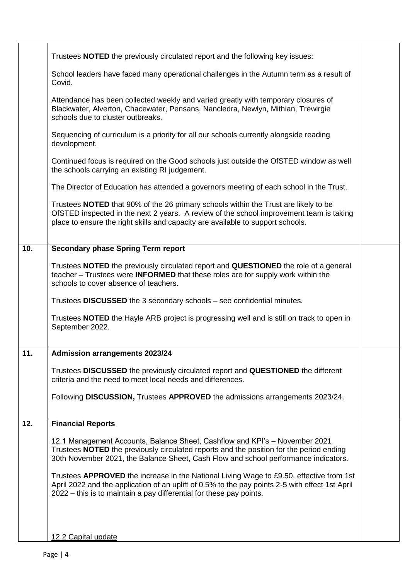|     | Trustees <b>NOTED</b> the previously circulated report and the following key issues:                                                                                                                                                                                     |  |
|-----|--------------------------------------------------------------------------------------------------------------------------------------------------------------------------------------------------------------------------------------------------------------------------|--|
|     | School leaders have faced many operational challenges in the Autumn term as a result of<br>Covid.                                                                                                                                                                        |  |
|     | Attendance has been collected weekly and varied greatly with temporary closures of<br>Blackwater, Alverton, Chacewater, Pensans, Nancledra, Newlyn, Mithian, Trewirgie<br>schools due to cluster outbreaks.                                                              |  |
|     | Sequencing of curriculum is a priority for all our schools currently alongside reading<br>development.                                                                                                                                                                   |  |
|     | Continued focus is required on the Good schools just outside the OfSTED window as well<br>the schools carrying an existing RI judgement.                                                                                                                                 |  |
|     | The Director of Education has attended a governors meeting of each school in the Trust.                                                                                                                                                                                  |  |
|     | Trustees <b>NOTED</b> that 90% of the 26 primary schools within the Trust are likely to be<br>OfSTED inspected in the next 2 years. A review of the school improvement team is taking<br>place to ensure the right skills and capacity are available to support schools. |  |
| 10. | <b>Secondary phase Spring Term report</b>                                                                                                                                                                                                                                |  |
|     | Trustees NOTED the previously circulated report and QUESTIONED the role of a general<br>teacher – Trustees were <b>INFORMED</b> that these roles are for supply work within the<br>schools to cover absence of teachers.                                                 |  |
|     | Trustees DISCUSSED the 3 secondary schools – see confidential minutes.                                                                                                                                                                                                   |  |
|     | Trustees <b>NOTED</b> the Hayle ARB project is progressing well and is still on track to open in<br>September 2022.                                                                                                                                                      |  |
| 11. | <b>Admission arrangements 2023/24</b>                                                                                                                                                                                                                                    |  |
|     | Trustees DISCUSSED the previously circulated report and QUESTIONED the different<br>criteria and the need to meet local needs and differences.                                                                                                                           |  |
|     | Following DISCUSSION, Trustees APPROVED the admissions arrangements 2023/24.                                                                                                                                                                                             |  |
| 12. | <b>Financial Reports</b>                                                                                                                                                                                                                                                 |  |
|     | 12.1 Management Accounts, Balance Sheet, Cashflow and KPI's - November 2021<br>Trustees NOTED the previously circulated reports and the position for the period ending<br>30th November 2021, the Balance Sheet, Cash Flow and school performance indicators.            |  |
|     | Trustees APPROVED the increase in the National Living Wage to £9.50, effective from 1st<br>April 2022 and the application of an uplift of 0.5% to the pay points 2-5 with effect 1st April<br>2022 – this is to maintain a pay differential for these pay points.        |  |
|     | 12.2 Capital update                                                                                                                                                                                                                                                      |  |
|     |                                                                                                                                                                                                                                                                          |  |